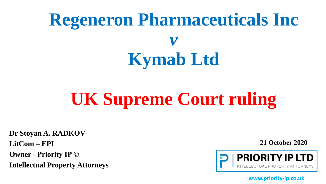# **Regeneron Pharmaceuticals Inc**  *v* **Kymab Ltd**

# **UK Supreme Court ruling**

**Dr Stoyan A. RADKOV** 

**LitCom – EPI** 

**Owner - Priority IP ©** 

**Intellectual Property Attorneys**

**21 October 2020**

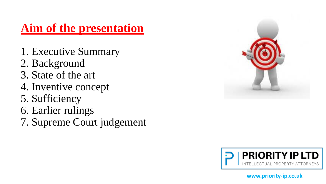## **Aim of the presentation**

- 1. Executive Summary
- 2. Background
- 3. State of the art
- 4. Inventive concept
- 5. Sufficiency
- 6. Earlier rulings
- 7. Supreme Court judgement



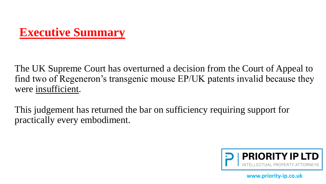## **Executive Summary**

The UK Supreme Court has overturned a decision from the Court of Appeal to find two of Regeneron's transgenic mouse EP/UK patents invalid because they were insufficient.

This judgement has returned the bar on sufficiency requiring support for practically every embodiment.

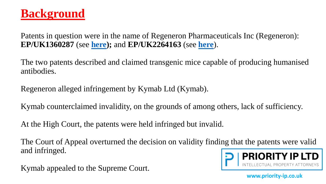### **Background**

Patents in question were in the name of Regeneron Pharmaceuticals Inc (Regeneron): **EP/UK1360287** (see **[here\)](https://worldwide.espacenet.com/publicationDetails/biblio?II=0&ND=3&adjacent=true&locale=en_EP&FT=D&date=20031112&CC=EP&NR=1360287A1&KC=A1);** and **EP/UK2264163** (see **[here](https://worldwide.espacenet.com/publicationDetails/biblio?II=0&ND=3&adjacent=true&locale=en_EP&FT=D&date=20101222&CC=EP&NR=2264163A2&KC=A2)**).

The two patents described and claimed transgenic mice capable of producing humanised antibodies.

Regeneron alleged infringement by Kymab Ltd (Kymab).

Kymab counterclaimed invalidity, on the grounds of among others, lack of sufficiency.

At the High Court, the patents were held infringed but invalid.

The Court of Appeal overturned the decision on validity finding that the patents were valid and infringed.

Kymab appealed to the Supreme Court.

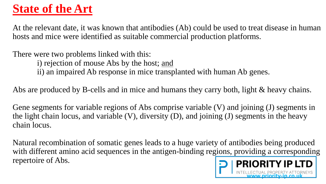# **State of the Art**

At the relevant date, it was known that antibodies (Ab) could be used to treat disease in human hosts and mice were identified as suitable commercial production platforms.

There were two problems linked with this:

i) rejection of mouse Abs by the host; and

ii) an impaired Ab response in mice transplanted with human Ab genes.

Abs are produced by B-cells and in mice and humans they carry both, light & heavy chains.

Gene segments for variable regions of Abs comprise variable (V) and joining (J) segments in the light chain locus, and variable  $(V)$ , diversity  $(D)$ , and joining  $(J)$  segments in the heavy chain locus.

Natural recombination of somatic genes leads to a huge variety of antibodies being produced with different amino acid sequences in the antigen-binding regions, providing a corresponding repertoire of Abs. PRIORITY IP LTD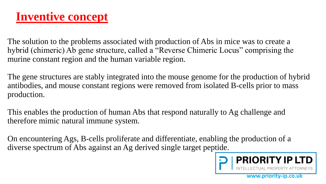### **Inventive concept**

The solution to the problems associated with production of Abs in mice was to create a hybrid (chimeric) Ab gene structure, called a "Reverse Chimeric Locus" comprising the murine constant region and the human variable region.

The gene structures are stably integrated into the mouse genome for the production of hybrid antibodies, and mouse constant regions were removed from isolated B-cells prior to mass production.

This enables the production of human Abs that respond naturally to Ag challenge and therefore mimic natural immune system.

On encountering Ags, B-cells proliferate and differentiate, enabling the production of a diverse spectrum of Abs against an Ag derived single target peptide.

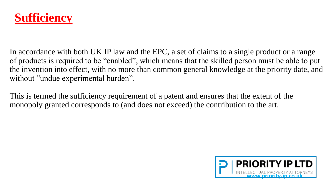

In accordance with both UK IP law and the EPC, a set of claims to a single product or a range of products is required to be "enabled", which means that the skilled person must be able to put the invention into effect, with no more than common general knowledge at the priority date, and without "undue experimental burden".

This is termed the sufficiency requirement of a patent and ensures that the extent of the monopoly granted corresponds to (and does not exceed) the contribution to the art.

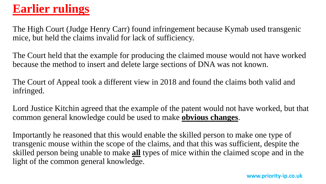## **Earlier rulings**

The High Court (Judge Henry Carr) found infringement because Kymab used transgenic mice, but held the claims invalid for lack of sufficiency.

The Court held that the example for producing the claimed mouse would not have worked because the method to insert and delete large sections of DNA was not known.

The Court of Appeal took a different view in 2018 and found the claims both valid and infringed.

Lord Justice Kitchin agreed that the example of the patent would not have worked, but that common general knowledge could be used to make **obvious changes**.

Importantly he reasoned that this would enable the skilled person to make one type of transgenic mouse within the scope of the claims, and that this was sufficient, despite the skilled person being unable to make **all** types of mice within the claimed scope and in the light of the common general knowledge.